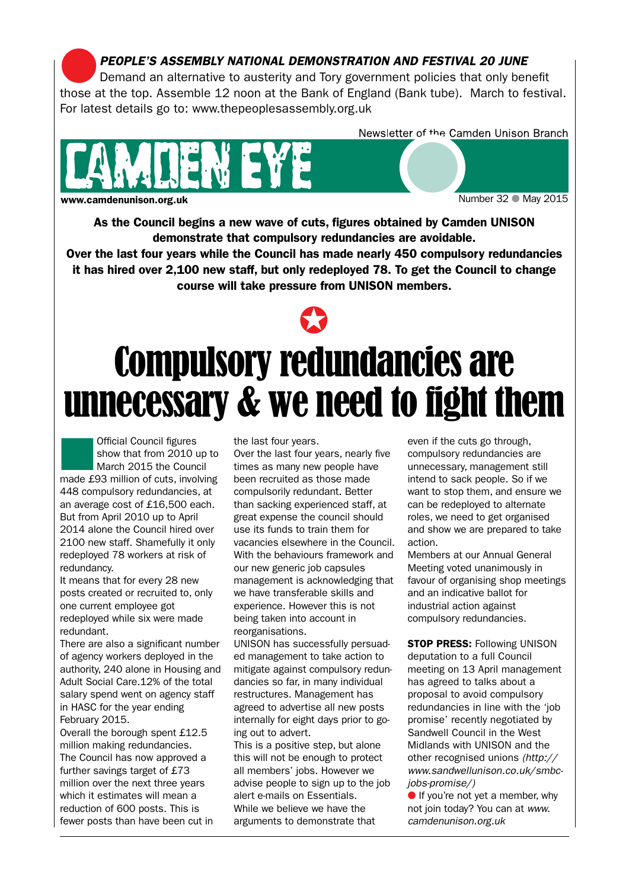**PEOPLE'S ASSEMBLY NATIONAL DEMONSTRATION AND FESTIVAL 20 JUNE**<br>Demand an alternative to austerity and Tory government policies that only benefit those at the top. Assemble 12 noon at the Bank of England (Bank tube). March to festival. For latest details go to: www.thepeoplesassembly.org.uk



w.camdenunison.org.uk Number 32 ● May 2015

Newsletter of the Camden Unison Branch

As the Council begins a new wave of cuts, figures obtained by Camden UNISON demonstrate that compulsory redundancies are avoidable.

Over the last four years while the Council has made nearly 450 compulsory redundancies it has hired over 2,100 new staff, but only redeployed 78. To get the Council to change course will take pressure from UNISON members.



## Compulsory redundancies are unnecessary & we need to fight them

Official Council figures<br>
show that from 2010 up<br>
March 2015 the Council show that from 2010 up to made £93 million of cuts, involving 448 compulsory redundancies, at an average cost of £16,500 each. But from April 2010 up to April 2014 alone the Council hired over 2100 new staff. Shamefully it only redeployed 78 workers at risk of redundancy.

It means that for every 28 new posts created or recruited to, only one current employee got redeployed while six were made redundant.

There are also a significant number of agency workers deployed in the authority, 240 alone in Housing and Adult Social Care.12% of the total salary spend went on agency staff in HASC for the year ending February 2015.

Overall the borough spent £12.5 million making redundancies. The Council has now approved a further savings target of £73 million over the next three years which it estimates will mean a reduction of 600 posts. This is fewer posts than have been cut in the last four years.

Over the last four years, nearly five times as many new people have been recruited as those made compulsorily redundant. Better than sacking experienced staff, at great expense the council should use its funds to train them for vacancies elsewhere in the Council. With the behaviours framework and our new generic job capsules management is acknowledging that we have transferable skills and experience. However this is not being taken into account in reorganisations.

UNISON has successfully persuaded management to take action to mitigate against compulsory redundancies so far, in many individual restructures. Management has agreed to advertise all new posts internally for eight days prior to going out to advert.

This is a positive step, but alone this will not be enough to protect all members' jobs. However we advise people to sign up to the job alert e-mails on Essentials. While we believe we have the arguments to demonstrate that

even if the cuts go through, compulsory redundancies are unnecessary, management still intend to sack people. So if we want to stop them, and ensure we can be redeployed to alternate roles, we need to get organised and show we are prepared to take action.

Members at our Annual General Meeting voted unanimously in favour of organising shop meetings and an indicative ballot for industrial action against compulsory redundancies.

**STOP PRESS: Following UNISON** deputation to a full Council meeting on 13 April management has agreed to talks about a proposal to avoid compulsory redundancies in line with the 'job promise' recently negotiated by Sandwell Council in the West Midlands with UNISON and the other recognised unions *(http:// www.sandwellunison.co.uk/smbcjobs-promise/)*

If you're not yet a member, why not join today? You can at *www. camdenunison.org.uk*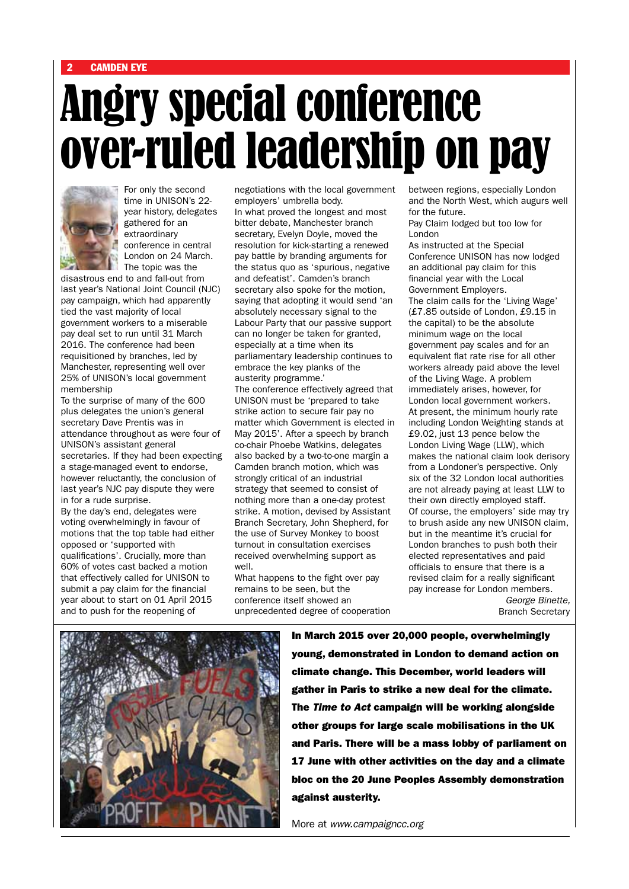# Angry special conference over-ruled leadership on pay



For only the second time in UNISON's 22 year history, delegates gathered for an extraordinary conference in central London on 24 March. The topic was the

disastrous end to and fall-out from last year's National Joint Council (NJC) pay campaign, which had apparently tied the vast majority of local government workers to a miserable pay deal set to run until 31 March 2016. The conference had been requisitioned by branches, led by Manchester, representing well over 25% of UNISON's local government membership

To the surprise of many of the 600 plus delegates the union's general secretary Dave Prentis was in attendance throughout as were four of UNISON's assistant general secretaries. If they had been expecting a stage-managed event to endorse, however reluctantly, the conclusion of last year's NJC pay dispute they were in for a rude surprise.

By the day's end, delegates were voting overwhelmingly in favour of motions that the top table had either opposed or 'supported with qualifications'. Crucially, more than 60% of votes cast backed a motion that effectively called for UNISON to submit a pay claim for the financial year about to start on 01 April 2015 and to push for the reopening of

negotiations with the local government employers' umbrella body. In what proved the longest and most bitter debate, Manchester branch secretary, Evelyn Doyle, moved the resolution for kick-starting a renewed pay battle by branding arguments for the status quo as 'spurious, negative and defeatist'. Camden's branch secretary also spoke for the motion, saying that adopting it would send 'an absolutely necessary signal to the Labour Party that our passive support can no longer be taken for granted, especially at a time when its parliamentary leadership continues to embrace the key planks of the austerity programme.'

The conference effectively agreed that UNISON must be 'prepared to take strike action to secure fair pay no matter which Government is elected in May 2015'. After a speech by branch co-chair Phoebe Watkins, delegates also backed by a two-to-one margin a Camden branch motion, which was strongly critical of an industrial strategy that seemed to consist of nothing more than a one-day protest strike. A motion, devised by Assistant Branch Secretary, John Shepherd, for the use of Survey Monkey to boost turnout in consultation exercises received overwhelming support as well.

What happens to the fight over pay remains to be seen, but the conference itself showed an unprecedented degree of cooperation between regions, especially London and the North West, which augurs well for the future.

Pay Claim lodged but too low for London

As instructed at the Special Conference UNISON has now lodged an additional pay claim for this financial year with the Local Government Employers. The claim calls for the 'Living Wage' (£7.85 outside of London, £9.15 in the capital) to be the absolute minimum wage on the local government pay scales and for an equivalent flat rate rise for all other workers already paid above the level of the Living Wage. A problem immediately arises, however, for London local government workers. At present, the minimum hourly rate including London Weighting stands at £9.02, just 13 pence below the London Living Wage (LLW), which makes the national claim look derisory from a Londoner's perspective. Only six of the 32 London local authorities are not already paying at least LLW to their own directly employed staff. Of course, the employers' side may try to brush aside any new UNISON claim, but in the meantime it's crucial for London branches to push both their elected representatives and paid officials to ensure that there is a revised claim for a really significant pay increase for London members. *George Binette,* 

Branch Secretary



In March 2015 over 20,000 people, overwhelmingly young, demonstrated in London to demand action on climate change. This December, world leaders will gather in Paris to strike a new deal for the climate. The *Time to Act* campaign will be working alongside other groups for large scale mobilisations in the UK and Paris. There will be a mass lobby of parliament on 17 June with other activities on the day and a climate bloc on the 20 June Peoples Assembly demonstration against austerity.

More at *www.campaigncc.org*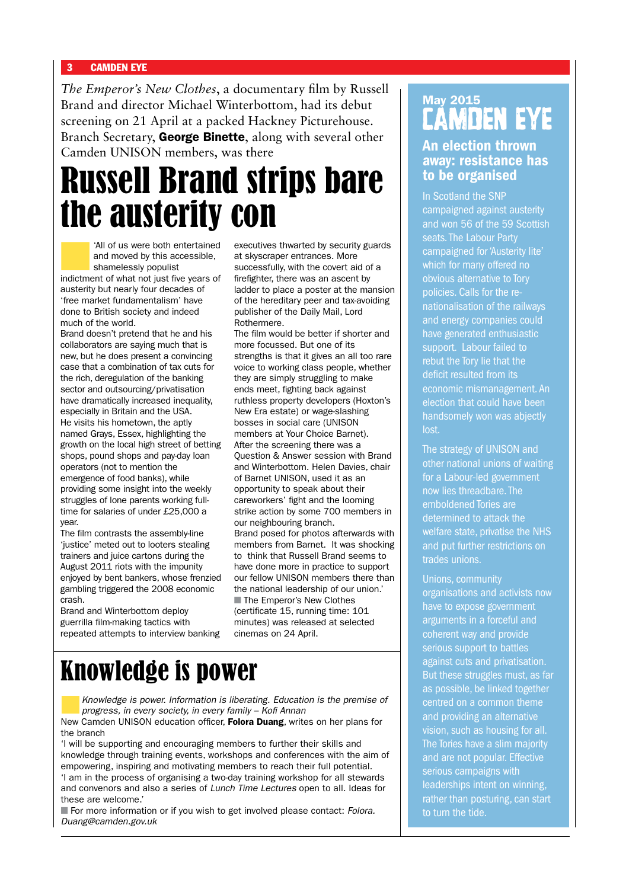*The Emperor's New Clothes*, a documentary film by Russell Brand and director Michael Winterbottom, had its debut screening on 21 April at a packed Hackney Picturehouse. Branch Secretary, George Binette, along with several other Camden UNISON members, was there

## Russell Brand strips bare the austerity con

All of us were both entertained<br>and moved by this accessible,<br>shamelessly populist and moved by this accessible, shamelessly populist indictment of what not just five years of austerity but nearly four decades of 'free market fundamentalism' have done to British society and indeed much of the world.

Brand doesn't pretend that he and his collaborators are saying much that is new, but he does present a convincing case that a combination of tax cuts for the rich, deregulation of the banking sector and outsourcing/privatisation have dramatically increased inequality, especially in Britain and the USA. He visits his hometown, the aptly named Grays, Essex, highlighting the growth on the local high street of betting shops, pound shops and pay-day loan operators (not to mention the emergence of food banks), while providing some insight into the weekly struggles of lone parents working fulltime for salaries of under £25,000 a year.

The film contrasts the assembly-line 'justice' meted out to looters stealing trainers and juice cartons during the August 2011 riots with the impunity enjoyed by bent bankers, whose frenzied gambling triggered the 2008 economic crash.

Brand and Winterbottom deploy guerrilla film-making tactics with repeated attempts to interview banking executives thwarted by security guards at skyscraper entrances. More successfully, with the covert aid of a firefighter, there was an ascent by ladder to place a poster at the mansion of the hereditary peer and tax-avoiding publisher of the Daily Mail, Lord Rothermere.

The film would be better if shorter and more focussed. But one of its strengths is that it gives an all too rare voice to working class people, whether they are simply struggling to make ends meet, fighting back against ruthless property developers (Hoxton's New Era estate) or wage-slashing bosses in social care (UNISON members at Your Choice Barnet). After the screening there was a Question & Answer session with Brand and Winterbottom. Helen Davies, chair of Barnet UNISON, used it as an opportunity to speak about their careworkers' fight and the looming strike action by some 700 members in our neighbouring branch. Brand posed for photos afterwards with members from Barnet. It was shocking to think that Russell Brand seems to have done more in practice to support our fellow UNISON members there than the national leadership of our union.' ■ The Emperor's New Clothes (certificate 15, running time: 101 minutes) was released at selected cinemas on 24 April.

## Knowledge is power

n*Knowledge is power. Information is liberating. Education is the premise of progress, in every society, in every family – Kofi Annan*

New Camden UNISON education officer, Folora Duang, writes on her plans for the branch

'I will be supporting and encouraging members to further their skills and knowledge through training events, workshops and conferences with the aim of empowering, inspiring and motivating members to reach their full potential. 'I am in the process of organising a two-day training workshop for all stewards and convenors and also a series of *Lunch Time Lectures* open to all. Ideas for these are welcome.'

■ For more information or if you wish to get involved please contact: *Folora*. *Duang@camden.gov.uk*

### May 2015 CAMDEN EYE

### An election thrown away: resistance has to be organised

In Scotland the SNP campaigned against austerity and won 56 of the 59 Scottish seats. The Labour Party campaigned for 'Austerity lite' which for many offered no obvious alternative to Tory policies. Calls for the renationalisation of the railways and energy companies could have generated enthusiastic support. Labour failed to rebut the Tory lie that the deficit resulted from its economic mismanagement. An election that could have been handsomely won was abjectly lost.

The strategy of UNISON and other national unions of waiting for a Labour-led government now lies threadbare. The emboldened Tories are determined to attack the welfare state, privatise the NHS and put further restrictions on trades unions.

Unions, community organisations and activists now have to expose government arguments in a forceful and coherent way and provide serious support to battles against cuts and privatisation. But these struggles must, as far as possible, be linked together centred on a common theme and providing an alternative vision, such as housing for all. The Tories have a slim majority and are not popular. Effective serious campaigns with leaderships intent on winning, rather than posturing, can start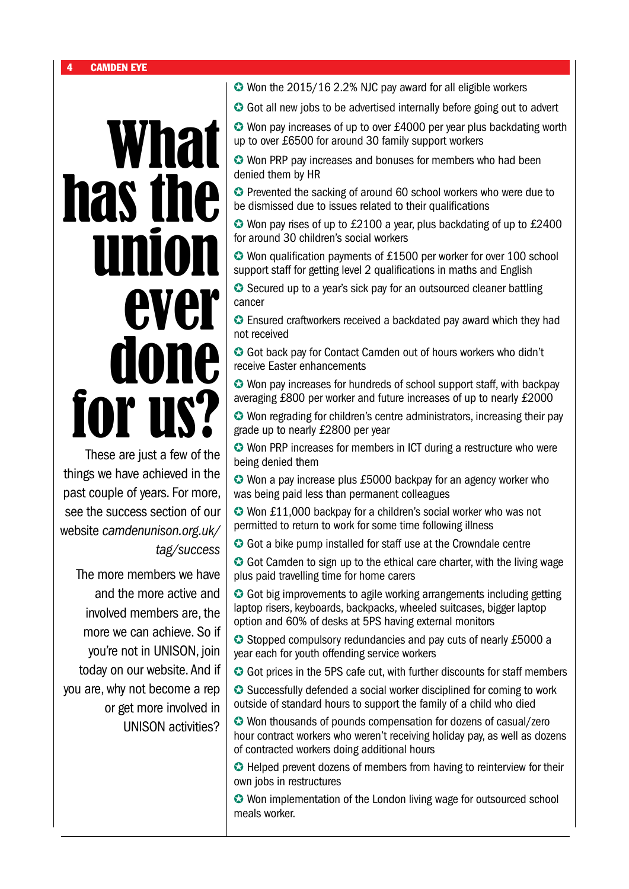# What has the **unio** ever<br>ione do for u

These are just a few of the things we have achieved in the past couple of years. For more, see the success section of our website *camdenunison.org.uk/ tag/success*

The more members we have and the more active and involved members are, the more we can achieve. So if you're not in UNISON, join today on our website. And if you are, why not become a rep or get more involved in UNISON activities?

✪ Won the 2015/16 2.2% NJC pay award for all eligible workers

**☉** Got all new jobs to be advertised internally before going out to advert

✪ Won pay increases of up to over £4000 per year plus backdating worth up to over £6500 for around 30 family support workers

✪ Won PRP pay increases and bonuses for members who had been denied them by HR

✪ Prevented the sacking of around 60 school workers who were due to be dismissed due to issues related to their qualifications

✪ Won pay rises of up to £2100 a year, plus backdating of up to £2400 for around 30 children's social workers

✪ Won qualification payments of £1500 per worker for over 100 school support staff for getting level 2 qualifications in maths and English

**◯** Secured up to a year's sick pay for an outsourced cleaner battling cancer

✪ Ensured craftworkers received a backdated pay award which they had not received

✪ Got back pay for Contact Camden out of hours workers who didn't receive Easter enhancements

✪ Won pay increases for hundreds of school support staff, with backpay averaging £800 per worker and future increases of up to nearly £2000

✪ Won regrading for children's centre administrators, increasing their pay grade up to nearly £2800 per year

✪ Won PRP increases for members in ICT during a restructure who were being denied them

✪ Won a pay increase plus £5000 backpay for an agency worker who was being paid less than permanent colleagues

✪ Won £11,000 backpay for a children's social worker who was not permitted to return to work for some time following illness

**◯** Got a bike pump installed for staff use at the Crowndale centre

**◯** Got Camden to sign up to the ethical care charter, with the living wage plus paid travelling time for home carers

✪ Got big improvements to agile working arrangements including getting laptop risers, keyboards, backpacks, wheeled suitcases, bigger laptop option and 60% of desks at 5PS having external monitors

✪ Stopped compulsory redundancies and pay cuts of nearly £5000 a year each for youth offending service workers

**◯** Got prices in the 5PS cafe cut, with further discounts for staff members

**◯** Successfully defended a social worker disciplined for coming to work outside of standard hours to support the family of a child who died

✪ Won thousands of pounds compensation for dozens of casual/zero hour contract workers who weren't receiving holiday pay, as well as dozens of contracted workers doing additional hours

✪ Helped prevent dozens of members from having to reinterview for their own jobs in restructures

✪ Won implementation of the London living wage for outsourced school meals worker.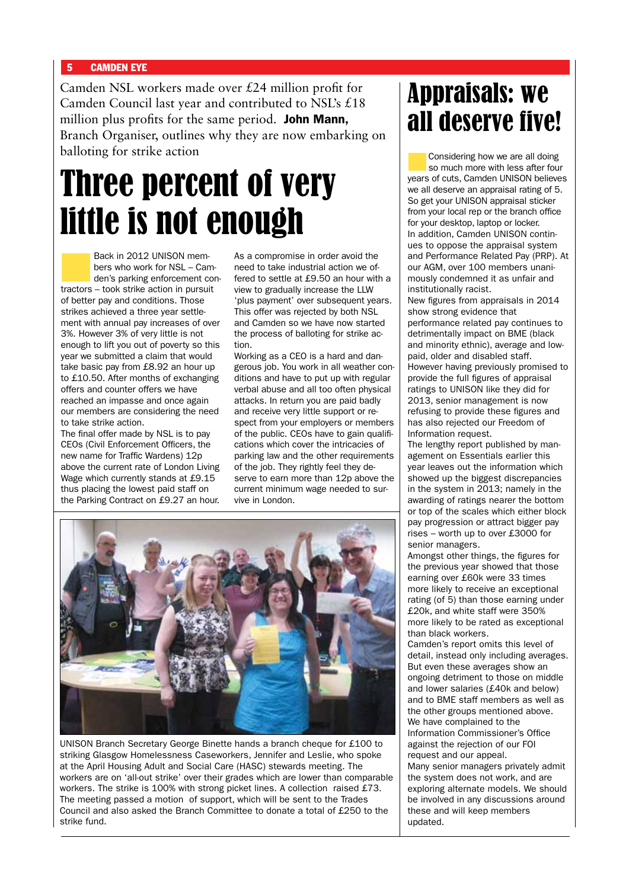Camden NSL workers made over £24 million profit for Camden Council last year and contributed to NSL's £18 million plus profits for the same period. **John Mann**, Branch Organiser, outlines why they are now embarking on balloting for strike action

## Three percent of very little is not enough

Back in 2012 UNISON members who work for NSL – Camden's parking enforcement contractors – took strike action in pursuit of better pay and conditions. Those strikes achieved a three year settlement with annual pay increases of over 3%. However 3% of very little is not enough to lift you out of poverty so this year we submitted a claim that would take basic pay from £8.92 an hour up to £10.50. After months of exchanging offers and counter offers we have reached an impasse and once again our members are considering the need to take strike action.

The final offer made by NSL is to pay CEOs (Civil Enforcement Officers, the new name for Traffic Wardens) 12p above the current rate of London Living Wage which currently stands at £9.15 thus placing the lowest paid staff on the Parking Contract on £9.27 an hour.

As a compromise in order avoid the need to take industrial action we offered to settle at £9.50 an hour with a view to gradually increase the LLW 'plus payment' over subsequent years. This offer was rejected by both NSL and Camden so we have now started the process of balloting for strike action.

Working as a CEO is a hard and dangerous job. You work in all weather conditions and have to put up with regular verbal abuse and all too often physical attacks. In return you are paid badly and receive very little support or respect from your employers or members of the public. CEOs have to gain qualifications which cover the intricacies of parking law and the other requirements of the job. They rightly feel they deserve to earn more than 12p above the current minimum wage needed to survive in London.



UNISON Branch Secretary George Binette hands a branch cheque for £100 to striking Glasgow Homelessness Caseworkers, Jennifer and Leslie, who spoke at the April Housing Adult and Social Care (HASC) stewards meeting. The workers are on 'all-out strike' over their grades which are lower than comparable workers. The strike is 100% with strong picket lines. A collection raised £73. The meeting passed a motion of support, which will be sent to the Trades Council and also asked the Branch Committee to donate a total of £250 to the strike fund.

## Appraisals: we all deserve five!

Considering how we are all doing so much more with less after four years of cuts, Camden UNISON believes we all deserve an appraisal rating of 5. So get your UNISON appraisal sticker from your local rep or the branch office for your desktop, laptop or locker. In addition, Camden UNISON continues to oppose the appraisal system and Performance Related Pay (PRP). At our AGM, over 100 members unanimously condemned it as unfair and institutionally racist.

New figures from appraisals in 2014 show strong evidence that performance related pay continues to detrimentally impact on BME (black and minority ethnic), average and lowpaid, older and disabled staff. However having previously promised to provide the full figures of appraisal ratings to UNISON like they did for 2013, senior management is now refusing to provide these figures and has also rejected our Freedom of Information request.

The lengthy report published by management on Essentials earlier this year leaves out the information which showed up the biggest discrepancies in the system in 2013; namely in the awarding of ratings nearer the bottom or top of the scales which either block pay progression or attract bigger pay rises – worth up to over £3000 for senior managers.

Amongst other things, the figures for the previous year showed that those earning over £60k were 33 times more likely to receive an exceptional rating (of 5) than those earning under £20k, and white staff were 350% more likely to be rated as exceptional than black workers.

Camden's report omits this level of detail, instead only including averages. But even these averages show an ongoing detriment to those on middle and lower salaries (£40k and below) and to BME staff members as well as the other groups mentioned above. We have complained to the Information Commissioner's Office against the rejection of our FOI request and our appeal. Many senior managers privately admit the system does not work, and are exploring alternate models. We should be involved in any discussions around these and will keep members updated.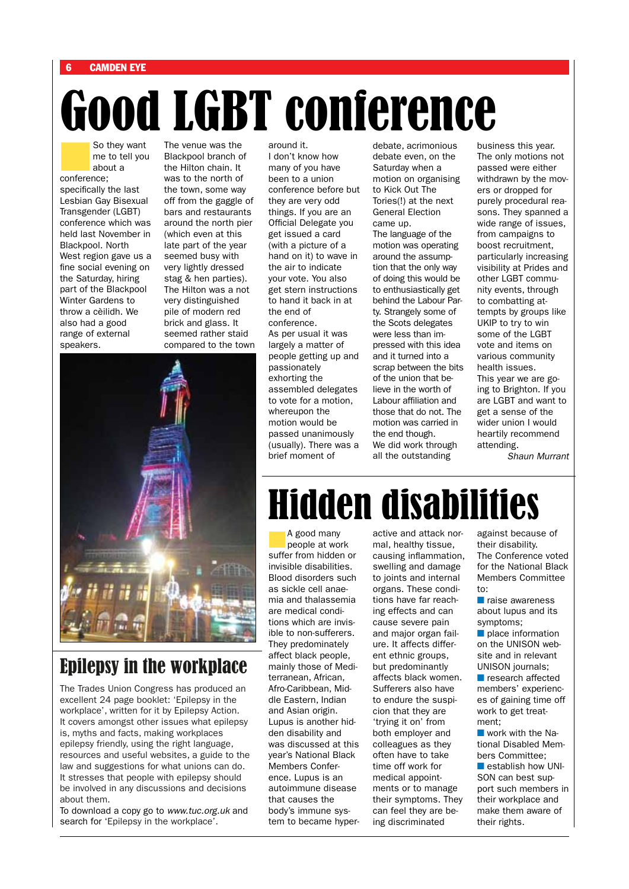# Good LGBT conference Was the **Analytic Account of the Venue was the**

So they want<br>me to tell you<br>about a me to tell you about a conference;

specifically the last Lesbian Gay Bisexual Transgender (LGBT) conference which was held last November in Blackpool. North West region gave us a fine social evening on the Saturday, hiring part of the Blackpool Winter Gardens to throw a cèilidh. We also had a good range of external speakers.

The venue was the Blackpool branch of the Hilton chain. It was to the north of the town, some way off from the gaggle of bars and restaurants around the north pier (which even at this late part of the year seemed busy with very lightly dressed stag & hen parties). The Hilton was a not very distinguished pile of modern red brick and glass. It seemed rather staid compared to the town

## Epilepsy in the workplace

The Trades Union Congress has produced an excellent 24 page booklet: 'Epilepsy in the workplace', written for it by Epilepsy Action. It covers amongst other issues what epilepsy is, myths and facts, making workplaces epilepsy friendly, using the right language, resources and useful websites, a guide to the law and suggestions for what unions can do. It stresses that people with epilepsy should be involved in any discussions and decisions about them.

To download a copy go to *www.tuc.org.uk* and search for 'Epilepsy in the workplace'.

around it. I don't know how many of you have been to a union conference before but they are very odd things. If you are an Official Delegate you get issued a card (with a picture of a hand on it) to wave in the air to indicate your vote. You also get stern instructions to hand it back in at the end of conference. As per usual it was largely a matter of people getting up and passionately exhorting the assembled delegates to vote for a motion, whereupon the motion would be passed unanimously (usually). There was a brief moment of

debate, acrimonious debate even, on the Saturday when a motion on organising to Kick Out The Tories(!) at the next General Election came up. The language of the motion was operating around the assumption that the only way of doing this would be to enthusiastically get behind the Labour Party. Strangely some of the Scots delegates were less than impressed with this idea and it turned into a scrap between the bits of the union that believe in the worth of Labour affiliation and those that do not. The motion was carried in the end though. We did work through all the outstanding

business this year. The only motions not passed were either withdrawn by the movers or dropped for purely procedural reasons. They spanned a wide range of issues, from campaigns to boost recruitment, particularly increasing visibility at Prides and other LGBT community events, through to combatting attempts by groups like UKIP to try to win some of the LGBT vote and items on various community health issues. This year we are going to Brighton. If you are LGBT and want to get a sense of the wider union I would heartily recommend attending.

*Shaun Murrant*

## Hidden disabilities

A good many<br>
people at work suffer from hidden or invisible disabilities. Blood disorders such as sickle cell anaemia and thalassemia are medical conditions which are invisible to non-sufferers. They predominately affect black people, mainly those of Mediterranean, African, Afro-Caribbean, Middle Eastern, Indian and Asian origin. Lupus is another hidden disability and was discussed at this year's National Black Members Conference. Lupus is an autoimmune disease that causes the body's immune system to became hyperactive and attack normal, healthy tissue, causing inflammation, swelling and damage to joints and internal organs. These conditions have far reaching effects and can cause severe pain and major organ failure. It affects different ethnic groups, but predominantly affects black women. Sufferers also have to endure the suspicion that they are 'trying it on' from both employer and colleagues as they often have to take time off work for medical appointments or to manage their symptoms. They can feel they are being discriminated

against because of their disability. The Conference voted for the National Black Members Committee to:

 $n$  raise awareness about lupus and its symptoms;

 $\blacksquare$  place information on the UNISON website and in relevant UNISON journals;

 $\blacksquare$  research affected members' experiences of gaining time off work to get treatment;

 $\blacksquare$  work with the National Disabled Members Committee;  $\blacksquare$  establish how UNI-SON can best support such members in their workplace and make them aware of their rights.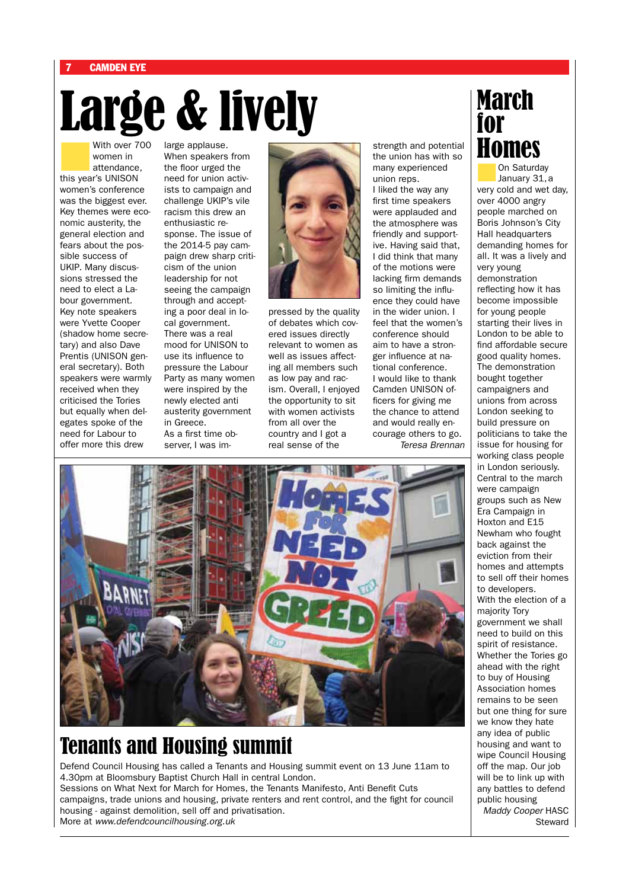# Large & lively

With over 700 women in attendance, this year's UNISON women's conference was the biggest ever. Key themes were economic austerity, the general election and fears about the possible success of UKIP. Many discussions stressed the need to elect a Labour government. Key note speakers were Yvette Cooper (shadow home secretary) and also Dave Prentis (UNISON general secretary). Both speakers were warmly received when they criticised the Tories but equally when delegates spoke of the need for Labour to offer more this drew

large applause. When speakers from the floor urged the need for union activists to campaign and challenge UKIP's vile racism this drew an enthusiastic response. The issue of the 2014-5 pay campaign drew sharp criticism of the union leadership for not seeing the campaign through and accepting a poor deal in local government. There was a real mood for UNISON to use its influence to pressure the Labour Party as many women were inspired by the newly elected anti austerity government in Greece. As a first time ob-

server, I was im-



pressed by the quality of debates which covered issues directly relevant to women as well as issues affecting all members such as low pay and racism. Overall, I enjoyed the opportunity to sit with women activists from all over the country and I got a real sense of the

strength and potential the union has with so many experienced union reps.

I liked the way any first time speakers were applauded and the atmosphere was friendly and supportive. Having said that, I did think that many of the motions were lacking firm demands so limiting the influence they could have in the wider union. I feel that the women's conference should aim to have a stronger influence at national conference. I would like to thank Camden UNISON officers for giving me the chance to attend and would really encourage others to go. *Teresa Brennan* 



## Tenants and Housing summit

Defend Council Housing has called a Tenants and Housing summit event on 13 June 11am to 4.30pm at Bloomsbury Baptist Church Hall in central London. Sessions on What Next for March for Homes, the Tenants Manifesto, Anti Benefit Cuts campaigns, trade unions and housing, private renters and rent control, and the fight for council housing - against demolition, sell off and privatisation.

More at *www.defendcouncilhousing.org.uk*

## **March** for **IOMES**

**n**On Saturday<br>January 31, a very cold and wet day, over 4000 angry people marched on Boris Johnson's City Hall headquarters demanding homes for all. It was a lively and very young demonstration reflecting how it has become impossible for young people starting their lives in London to be able to find affordable secure good quality homes. The demonstration bought together campaigners and unions from across London seeking to build pressure on politicians to take the issue for housing for working class people in London seriously. Central to the march were campaign groups such as New Era Campaign in Hoxton and E15 Newham who fought back against the eviction from their homes and attempts to sell off their homes to developers. With the election of a majority Tory government we shall need to build on this spirit of resistance. Whether the Tories go ahead with the right to buy of Housing Association homes remains to be seen but one thing for sure we know they hate any idea of public housing and want to wipe Council Housing off the map. Our job will be to link up with any battles to defend public housing *Maddy Cooper* HASC

**Steward**